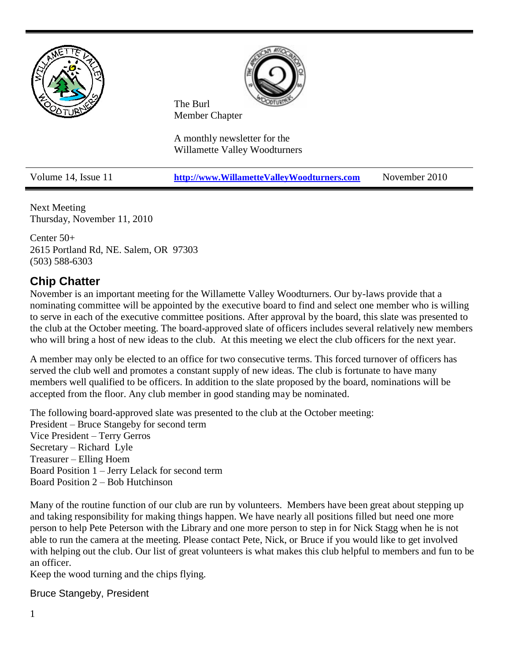



The Burl Member Chapter

A monthly newsletter for the Willamette Valley Woodturners

Volume 14, Issue 11 **[http://www.WillametteValleyWoodturners.com](http://www.willamettevalleywoodturners.com/)** November 2010

Next Meeting Thursday, November 11, 2010

Center 50+ 2615 Portland Rd, NE. Salem, OR 97303 (503) 588-6303

### **Chip Chatter**

November is an important meeting for the Willamette Valley Woodturners. Our by-laws provide that a nominating committee will be appointed by the executive board to find and select one member who is willing to serve in each of the executive committee positions. After approval by the board, this slate was presented to the club at the October meeting. The board-approved slate of officers includes several relatively new members who will bring a host of new ideas to the club. At this meeting we elect the club officers for the next year.

A member may only be elected to an office for two consecutive terms. This forced turnover of officers has served the club well and promotes a constant supply of new ideas. The club is fortunate to have many members well qualified to be officers. In addition to the slate proposed by the board, nominations will be accepted from the floor. Any club member in good standing may be nominated.

The following board-approved slate was presented to the club at the October meeting: President – Bruce Stangeby for second term Vice President – Terry Gerros Secretary – Richard Lyle Treasurer – Elling Hoem Board Position 1 – Jerry Lelack for second term Board Position 2 – Bob Hutchinson

Many of the routine function of our club are run by volunteers. Members have been great about stepping up and taking responsibility for making things happen. We have nearly all positions filled but need one more person to help Pete Peterson with the Library and one more person to step in for Nick Stagg when he is not able to run the camera at the meeting. Please contact Pete, Nick, or Bruce if you would like to get involved with helping out the club. Our list of great volunteers is what makes this club helpful to members and fun to be an officer.

Keep the wood turning and the chips flying.

#### Bruce Stangeby, President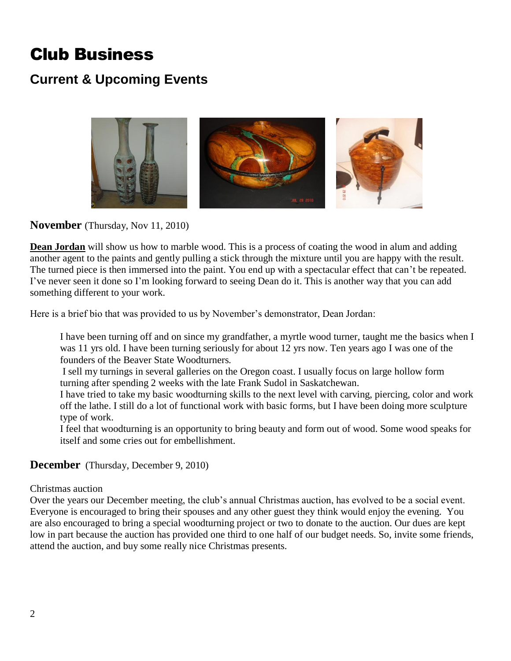# Club Business

### **Current & Upcoming Events**



**November** (Thursday, Nov 11, 2010)

**Dean Jordan** will show us how to marble wood. This is a process of coating the wood in alum and adding another agent to the paints and gently pulling a stick through the mixture until you are happy with the result. The turned piece is then immersed into the paint. You end up with a spectacular effect that can't be repeated. I've never seen it done so I'm looking forward to seeing Dean do it. This is another way that you can add something different to your work.

Here is a brief bio that was provided to us by November's demonstrator, Dean Jordan:

I have been turning off and on since my grandfather, a myrtle wood turner, taught me the basics when I was 11 yrs old. I have been turning seriously for about 12 yrs now. Ten years ago I was one of the founders of the Beaver State Woodturners.

I sell my turnings in several galleries on the Oregon coast. I usually focus on large hollow form turning after spending 2 weeks with the late Frank Sudol in Saskatchewan.

I have tried to take my basic woodturning skills to the next level with carving, piercing, color and work off the lathe. I still do a lot of functional work with basic forms, but I have been doing more sculpture type of work.

I feel that woodturning is an opportunity to bring beauty and form out of wood. Some wood speaks for itself and some cries out for embellishment.

**December** (Thursday, December 9, 2010)

Christmas auction

Over the years our December meeting, the club's annual Christmas auction, has evolved to be a social event. Everyone is encouraged to bring their spouses and any other guest they think would enjoy the evening. You are also encouraged to bring a special woodturning project or two to donate to the auction. Our dues are kept low in part because the auction has provided one third to one half of our budget needs. So, invite some friends, attend the auction, and buy some really nice Christmas presents.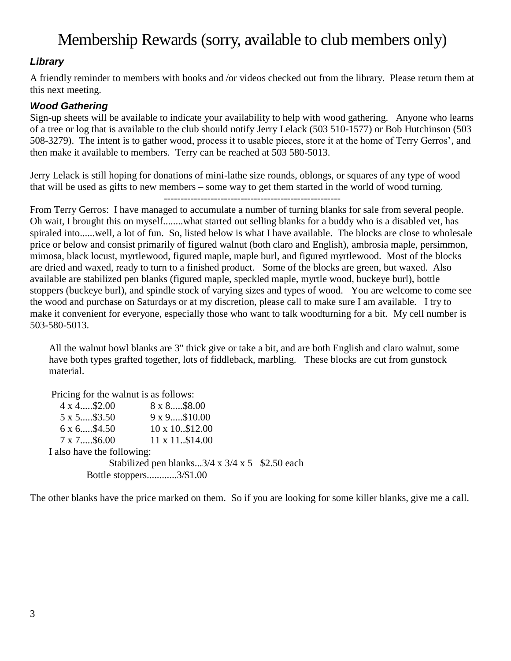## Membership Rewards (sorry, available to club members only)

#### *Library*

A friendly reminder to members with books and /or videos checked out from the library. Please return them at this next meeting.

#### *Wood Gathering*

Sign-up sheets will be available to indicate your availability to help with wood gathering. Anyone who learns of a tree or log that is available to the club should notify Jerry Lelack (503 510-1577) or Bob Hutchinson (503 508-3279). The intent is to gather wood, process it to usable pieces, store it at the home of Terry Gerros', and then make it available to members. Terry can be reached at 503 580-5013.

Jerry Lelack is still hoping for donations of mini-lathe size rounds, oblongs, or squares of any type of wood that will be used as gifts to new members – some way to get them started in the world of wood turning.

From Terry Gerros: I have managed to accumulate a number of turning blanks for sale from several people. Oh wait, I brought this on myself........what started out selling blanks for a buddy who is a disabled vet, has spiraled into......well, a lot of fun. So, listed below is what I have available. The blocks are close to wholesale price or below and consist primarily of figured walnut (both claro and English), ambrosia maple, persimmon, mimosa, black locust, myrtlewood, figured maple, maple burl, and figured myrtlewood. Most of the blocks are dried and waxed, ready to turn to a finished product. Some of the blocks are green, but waxed. Also available are stabilized pen blanks (figured maple, speckled maple, myrtle wood, buckeye burl), bottle stoppers (buckeye burl), and spindle stock of varying sizes and types of wood. You are welcome to come see the wood and purchase on Saturdays or at my discretion, please call to make sure I am available. I try to make it convenient for everyone, especially those who want to talk woodturning for a bit. My cell number is 503-580-5013.

All the walnut bowl blanks are 3" thick give or take a bit, and are both English and claro walnut, some have both types grafted together, lots of fiddleback, marbling. These blocks are cut from gunstock material.

Pricing for the walnut is as follows:  $4 \times 4$ .....\$2.00  $8 \times 8$ .....\$8.00 5 x 5.....\$3.50 9 x 9.....\$10.00  $6 \times 6$ .....\$4.50  $10 \times 10.812.00$ 7 x 7.....\$6.00 11 x 11..\$14.00 I also have the following: Stabilized pen blanks... $3/4 \times 3/4 \times 5$  \$2.50 each Bottle stoppers............3/\$1.00

The other blanks have the price marked on them. So if you are looking for some killer blanks, give me a call.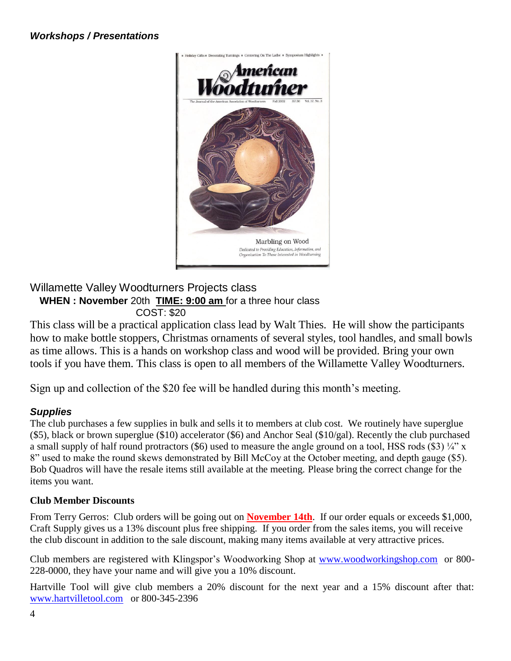

#### Willamette Valley Woodturners Projects class **WHEN : November** 20th **TIME: 9:00 am** for a three hour class COST: \$20

This class will be a practical application class lead by Walt Thies. He will show the participants how to make bottle stoppers, Christmas ornaments of several styles, tool handles, and small bowls as time allows. This is a hands on workshop class and wood will be provided. Bring your own tools if you have them. This class is open to all members of the Willamette Valley Woodturners.

Sign up and collection of the \$20 fee will be handled during this month's meeting.

#### *Supplies*

The club purchases a few supplies in bulk and sells it to members at club cost. We routinely have superglue (\$5), black or brown superglue (\$10) accelerator (\$6) and Anchor Seal (\$10/gal). Recently the club purchased a small supply of half round protractors (\$6) used to measure the angle ground on a tool, HSS rods (\$3)  $\frac{1}{4}$ " x 8" used to make the round skews demonstrated by Bill McCoy at the October meeting, and depth gauge (\$5). Bob Quadros will have the resale items still available at the meeting. Please bring the correct change for the items you want.

#### **Club Member Discounts**

From Terry Gerros: Club orders will be going out on **November 14th**. If our order equals or exceeds \$1,000, Craft Supply gives us a 13% discount plus free shipping. If you order from the sales items, you will receive the club discount in addition to the sale discount, making many items available at very attractive prices.

Club members are registered with Klingspor's Woodworking Shop at [www.woodworkingshop.com](http://www.woodworkingshop.com/)or 800- 228-0000, they have your name and will give you a 10% discount.

Hartville Tool will give club members a 20% discount for the next year and a 15% discount after that: [www.hartvilletool.com](http://www.hartvilletool.com/)or 800-345-2396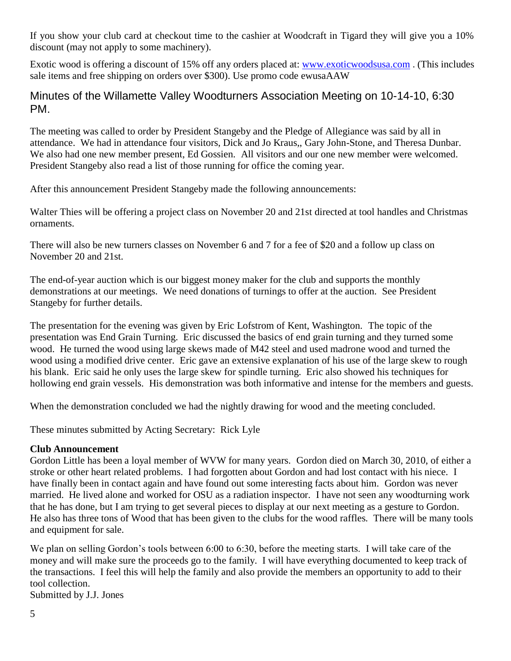If you show your club card at checkout time to the cashier at Woodcraft in Tigard they will give you a 10% discount (may not apply to some machinery).

Exotic wood is offering a discount of 15% off any orders placed at: [www.exoticwoodsusa.com](http://www.exoticwoodsusa.com/) . (This includes sale items and free shipping on orders over \$300). Use promo code ewusaAAW

#### Minutes of the Willamette Valley Woodturners Association Meeting on 10-14-10, 6:30 PM.

The meeting was called to order by President Stangeby and the Pledge of Allegiance was said by all in attendance. We had in attendance four visitors, Dick and Jo Kraus,, Gary John-Stone, and Theresa Dunbar. We also had one new member present, Ed Gossien. All visitors and our one new member were welcomed. President Stangeby also read a list of those running for office the coming year.

After this announcement President Stangeby made the following announcements:

Walter Thies will be offering a project class on November 20 and 21st directed at tool handles and Christmas ornaments.

There will also be new turners classes on November 6 and 7 for a fee of \$20 and a follow up class on November 20 and 21st.

The end-of-year auction which is our biggest money maker for the club and supports the monthly demonstrations at our meetings. We need donations of turnings to offer at the auction. See President Stangeby for further details.

The presentation for the evening was given by Eric Lofstrom of Kent, Washington. The topic of the presentation was End Grain Turning. Eric discussed the basics of end grain turning and they turned some wood. He turned the wood using large skews made of M42 steel and used madrone wood and turned the wood using a modified drive center. Eric gave an extensive explanation of his use of the large skew to rough his blank. Eric said he only uses the large skew for spindle turning. Eric also showed his techniques for hollowing end grain vessels. His demonstration was both informative and intense for the members and guests.

When the demonstration concluded we had the nightly drawing for wood and the meeting concluded.

These minutes submitted by Acting Secretary: Rick Lyle

#### **Club Announcement**

Gordon Little has been a loyal member of WVW for many years. Gordon died on March 30, 2010, of either a stroke or other heart related problems. I had forgotten about Gordon and had lost contact with his niece. I have finally been in contact again and have found out some interesting facts about him. Gordon was never married. He lived alone and worked for OSU as a radiation inspector. I have not seen any woodturning work that he has done, but I am trying to get several pieces to display at our next meeting as a gesture to Gordon. He also has three tons of Wood that has been given to the clubs for the wood raffles. There will be many tools and equipment for sale.

We plan on selling Gordon's tools between 6:00 to 6:30, before the meeting starts. I will take care of the money and will make sure the proceeds go to the family. I will have everything documented to keep track of the transactions. I feel this will help the family and also provide the members an opportunity to add to their tool collection.

Submitted by J.J. Jones